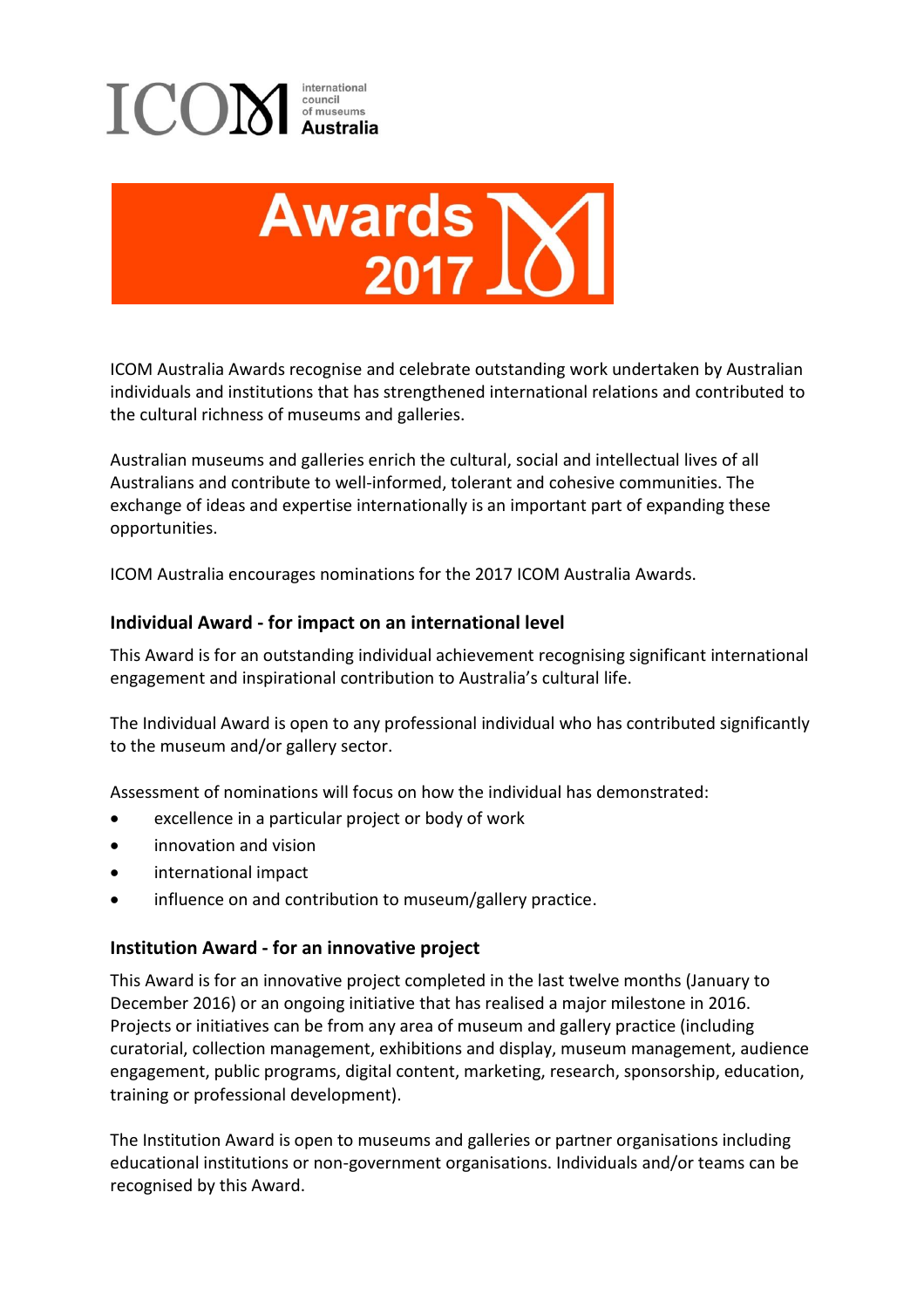



ICOM Australia Awards recognise and celebrate outstanding work undertaken by Australian individuals and institutions that has strengthened international relations and contributed to the cultural richness of museums and galleries.

Australian museums and galleries enrich the cultural, social and intellectual lives of all Australians and contribute to well-informed, tolerant and cohesive communities. The exchange of ideas and expertise internationally is an important part of expanding these opportunities.

ICOM Australia encourages nominations for the 2017 ICOM Australia Awards.

## **Individual Award - for impact on an international level**

This Award is for an outstanding individual achievement recognising significant international engagement and inspirational contribution to Australia's cultural life.

The Individual Award is open to any professional individual who has contributed significantly to the museum and/or gallery sector.

Assessment of nominations will focus on how the individual has demonstrated:

- excellence in a particular project or body of work
- innovation and vision
- international impact
- influence on and contribution to museum/gallery practice.

#### **Institution Award - for an innovative project**

This Award is for an innovative project completed in the last twelve months (January to December 2016) or an ongoing initiative that has realised a major milestone in 2016. Projects or initiatives can be from any area of museum and gallery practice (including curatorial, collection management, exhibitions and display, museum management, audience engagement, public programs, digital content, marketing, research, sponsorship, education, training or professional development).

The Institution Award is open to museums and galleries or partner organisations including educational institutions or non-government organisations. Individuals and/or teams can be recognised by this Award.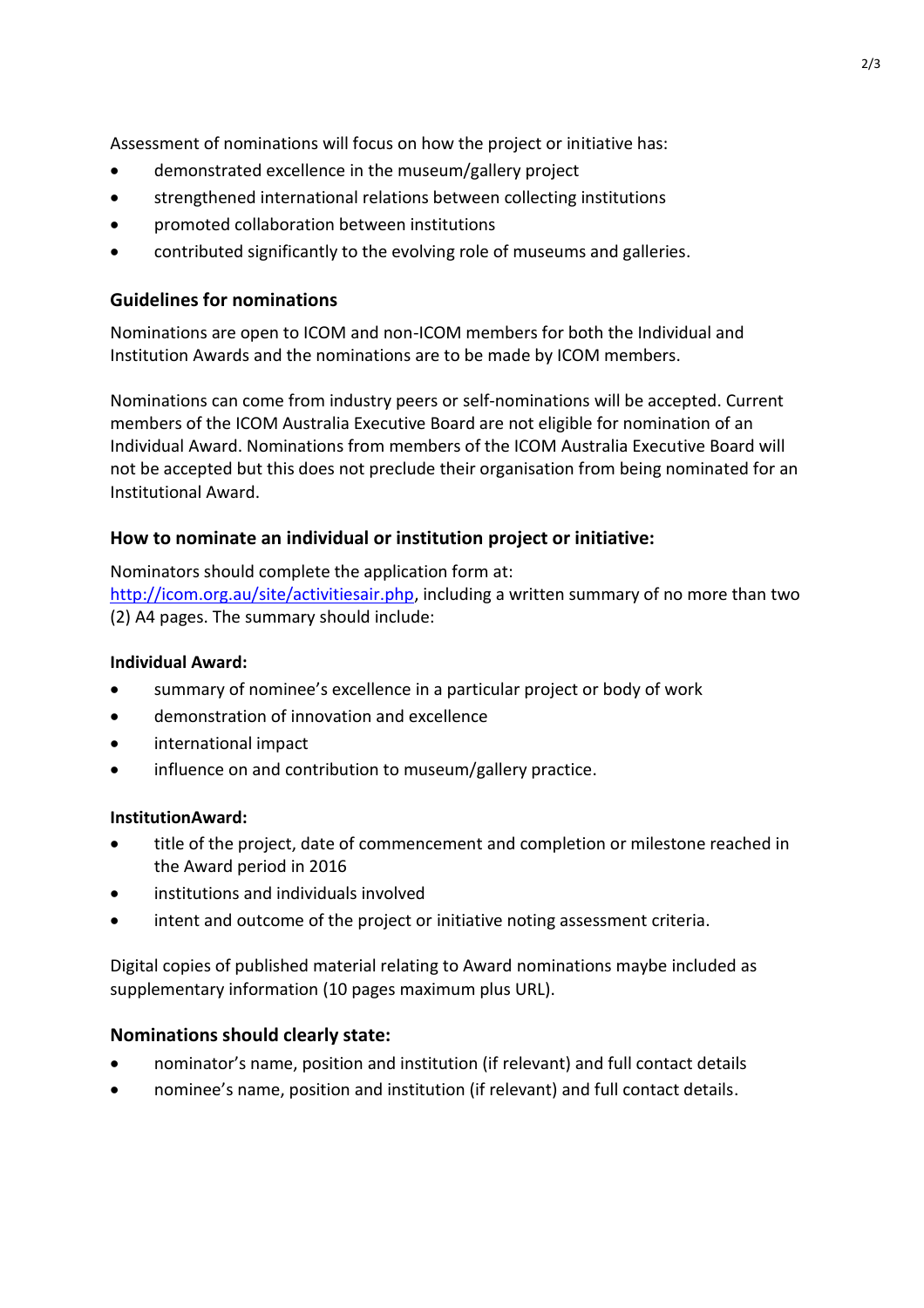Assessment of nominations will focus on how the project or initiative has:

- demonstrated excellence in the museum/gallery project
- strengthened international relations between collecting institutions
- promoted collaboration between institutions
- contributed significantly to the evolving role of museums and galleries.

## **Guidelines for nominations**

Nominations are open to ICOM and non-ICOM members for both the Individual and Institution Awards and the nominations are to be made by ICOM members.

Nominations can come from industry peers or self-nominations will be accepted. Current members of the ICOM Australia Executive Board are not eligible for nomination of an Individual Award. Nominations from members of the ICOM Australia Executive Board will not be accepted but this does not preclude their organisation from being nominated for an Institutional Award.

# **How to nominate an individual or institution project or initiative:**

Nominators should complete the application form at:

[http://icom.org.au/site/activitiesair.php,](http://icom.org.au/site/activitiesair.php) including a written summary of no more than two (2) A4 pages. The summary should include:

#### **Individual Award:**

- summary of nominee's excellence in a particular project or body of work
- demonstration of innovation and excellence
- international impact
- influence on and contribution to museum/gallery practice.

## **InstitutionAward:**

- title of the project, date of commencement and completion or milestone reached in the Award period in 2016
- institutions and individuals involved
- intent and outcome of the project or initiative noting assessment criteria.

Digital copies of published material relating to Award nominations maybe included as supplementary information (10 pages maximum plus URL).

## **Nominations should clearly state:**

- nominator's name, position and institution (if relevant) and full contact details
- nominee's name, position and institution (if relevant) and full contact details.